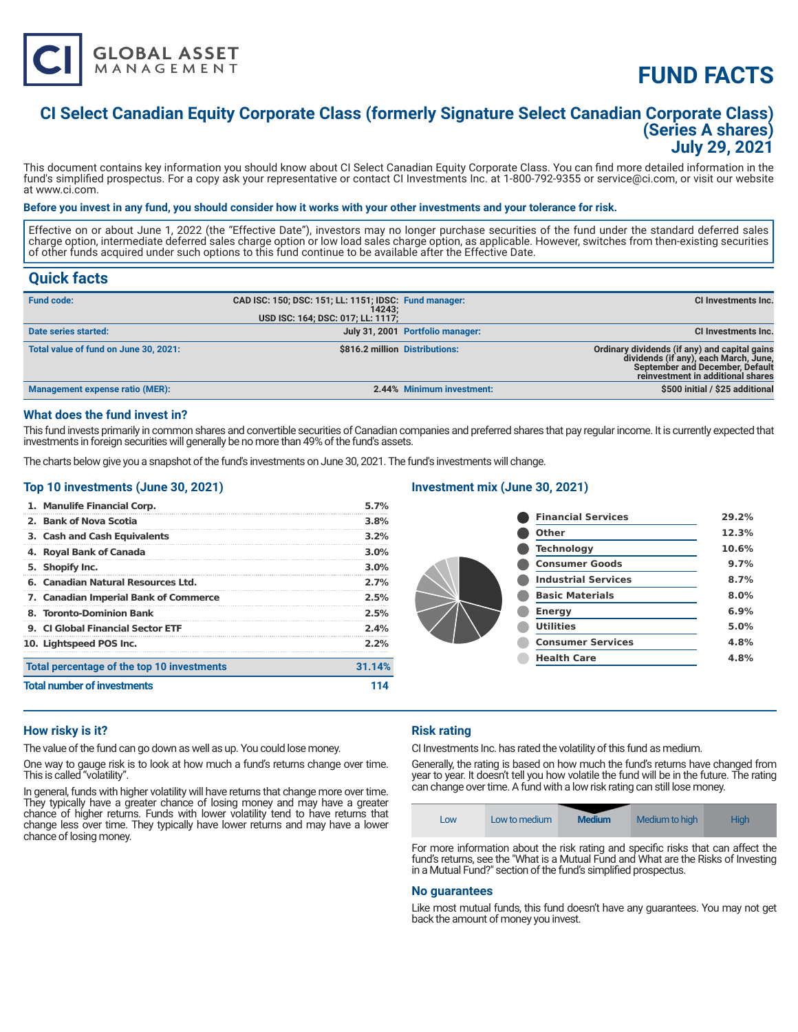

# **FUND FACTS**

### **CI Select Canadian Equity Corporate Class (formerly Signature Select Canadian Corporate Class) (Series A shares) July 29, 2021**

This document contains key information you should know about CI Select Canadian Equity Corporate Class. You can find more detailed information in the fund's simplified prospectus. For a copy ask your representative or contact CI Investments Inc. at 1-800-792-9355 or service@ci.com, or visit our website at www.ci.com.

#### **Before you invest in any fund, you should consider how it works with your other investments and your tolerance for risk.**

Effective on or about June 1, 2022 (the "Effective Date"), investors may no longer purchase securities of the fund under the standard deferred sales charge option, intermediate deferred sales charge option or low load sales charge option, as applicable. However, switches from then-existing securities of other funds acquired under such options to this fund continue to be available after the Effective Date.

### **Quick facts**

| <b>Fund code:</b>                     | CAD ISC: 150; DSC: 151; LL: 1151; IDSC: Fund manager:<br>14243:<br>USD ISC: 164; DSC: 017; LL: 1117; |                                  | CI Investments Inc.                                                                                                                                            |
|---------------------------------------|------------------------------------------------------------------------------------------------------|----------------------------------|----------------------------------------------------------------------------------------------------------------------------------------------------------------|
| Date series started:                  |                                                                                                      | July 31, 2001 Portfolio manager: | <b>CI Investments Inc.</b>                                                                                                                                     |
| Total value of fund on June 30, 2021: |                                                                                                      | \$816.2 million Distributions:   | Ordinary dividends (if any) and capital gains<br>dividends (if any), each March, June,<br>September and December, Default<br>reinvestment in additional shares |
| Management expense ratio (MER):       |                                                                                                      | 2.44% Minimum investment:        | \$500 initial / \$25 additional                                                                                                                                |

#### **What does the fund invest in?**

This fund invests primarily in common shares and convertible securities of Canadian companies and preferred shares that pay regular income. It is currently expected that investments in foreign securities will generally be no more than 49% of the fund's assets.

The charts below give you a snapshot of the fund's investments on June 30, 2021. The fund's investments will change.

#### **Top 10 investments (June 30, 2021)**

|                                    | 1. Manulife Financial Corp.                | 5.7%    |
|------------------------------------|--------------------------------------------|---------|
|                                    | 2. Bank of Nova Scotia                     | 3.8%    |
|                                    | 3. Cash and Cash Equivalents               | $3.2\%$ |
|                                    | 4. Royal Bank of Canada                    | $3.0\%$ |
|                                    | 5. Shopify Inc.                            | $3.0\%$ |
|                                    | 6. Canadian Natural Resources Ltd.         | 2.7%    |
|                                    | 7. Canadian Imperial Bank of Commerce      | 2.5%    |
|                                    | 8. Toronto-Dominion Bank                   | 2.5%    |
|                                    | 9. Cl Global Financial Sector ETF          | 2.4%    |
|                                    | 10. Lightspeed POS Inc.                    | $2.2\%$ |
|                                    | Total percentage of the top 10 investments | 31.14%  |
| <b>Total number of investments</b> |                                            |         |

#### **Investment mix (June 30, 2021)**

| <b>Financial Services</b>  | 29.2% |
|----------------------------|-------|
| Other                      | 12.3% |
| <b>Technology</b>          | 10.6% |
| <b>Consumer Goods</b>      | 9.7%  |
| <b>Industrial Services</b> | 8.7%  |
| <b>Basic Materials</b>     | 8.0%  |
| <b>Energy</b>              | 6.9%  |
| <b>Utilities</b>           | 5.0%  |
| <b>Consumer Services</b>   | 4.8%  |
| <b>Health Care</b>         | 4.8%  |
|                            |       |

#### **How risky is it?**

The value of the fund can go down as well as up. You could lose money.

One way to gauge risk is to look at how much a fund's returns change over time. This is called "volatility".

In general, funds with higher volatility will have returns that change more over time. They typically have a greater chance of losing money and may have a greater chance of higher returns. Funds with lower volatility tend to have returns that change less over time. They typically have lower returns and may have a lower chance of losing money.

#### **Risk rating**

CI Investments Inc. has rated the volatility of this fund as medium.

Generally, the rating is based on how much the fund's returns have changed from year to year. It doesn't tell you how volatile the fund will be in the future. The rating can change over time. A fund with a low risk rating can still lose money.



For more information about the risk rating and specific risks that can affect the fund's returns, see the "What is a Mutual Fund and What are the Risks of Investing in a Mutual Fund?" section of the fund's simplified prospectus.

#### **No guarantees**

Like most mutual funds, this fund doesn't have any guarantees. You may not get back the amount of money you invest.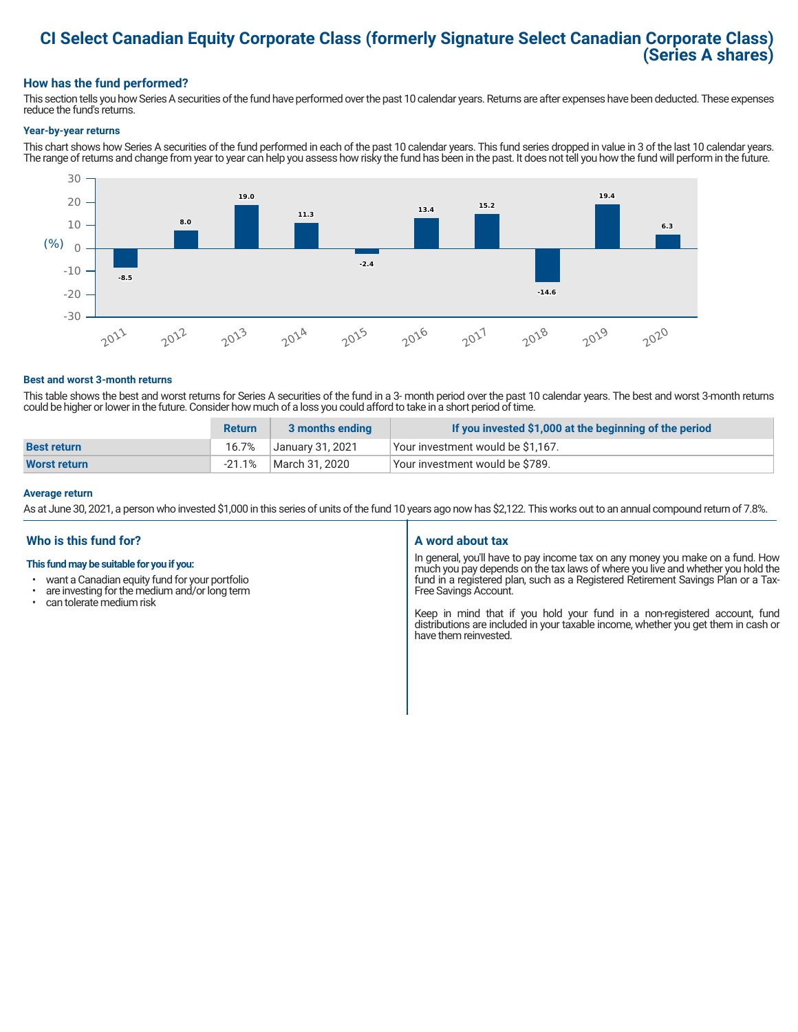### **CI Select Canadian Equity Corporate Class (formerly Signature Select Canadian Corporate Class) (Series A shares)**

#### **How has the fund performed?**

This section tells you how Series A securities of the fund have performed over the past 10 calendar years. Returns are after expenses have been deducted. These expenses reduce the fund's returns.

#### **Year-by-year returns**

This chart shows how Series A securities of the fund performed in each of the past 10 calendar years. This fund series dropped in value in 3 of the last 10 calendar years. The range of returns and change from year to year can help you assess how risky the fund has been in the past. It does not tell you how the fund will perform in the future.



#### **Best and worst 3-month returns**

This table shows the best and worst returns for Series A securities of the fund in a 3- month period over the past 10 calendar years. The best and worst 3-month returns could be higher or lower in the future. Consider how much of a loss you could afford to take in a short period of time.

|                     | <b>Return</b> | 3 months ending  | If you invested \$1,000 at the beginning of the period |
|---------------------|---------------|------------------|--------------------------------------------------------|
| <b>Best return</b>  | 16.7%         | January 31, 2021 | Your investment would be \$1,167.                      |
| <b>Worst return</b> | -21.1%        | March 31, 2020   | Your investment would be \$789.                        |

#### **Average return**

As at June 30, 2021, a person who invested \$1,000 in this series of units of the fund 10 years ago now has \$2,122. This works out to an annual compound return of 7.8%.

#### **Who is this fund for?**

#### **This fund may be suitable for you if you:**

- want a Canadian equity fund for your portfolio
- are investing for the medium and/or long term<br>• can telerate medium risk
- can tolerate medium risk

#### **A word about tax**

In general, you'll have to pay income tax on any money you make on a fund. How much you pay depends on the tax laws of where you live and whether you hold the fund in a registered plan, such as a Registered Retirement Savings Plan or a Tax-Free Savings Account.

Keep in mind that if you hold your fund in a non-registered account, fund distributions are included in your taxable income, whether you get them in cash or have them reinvested.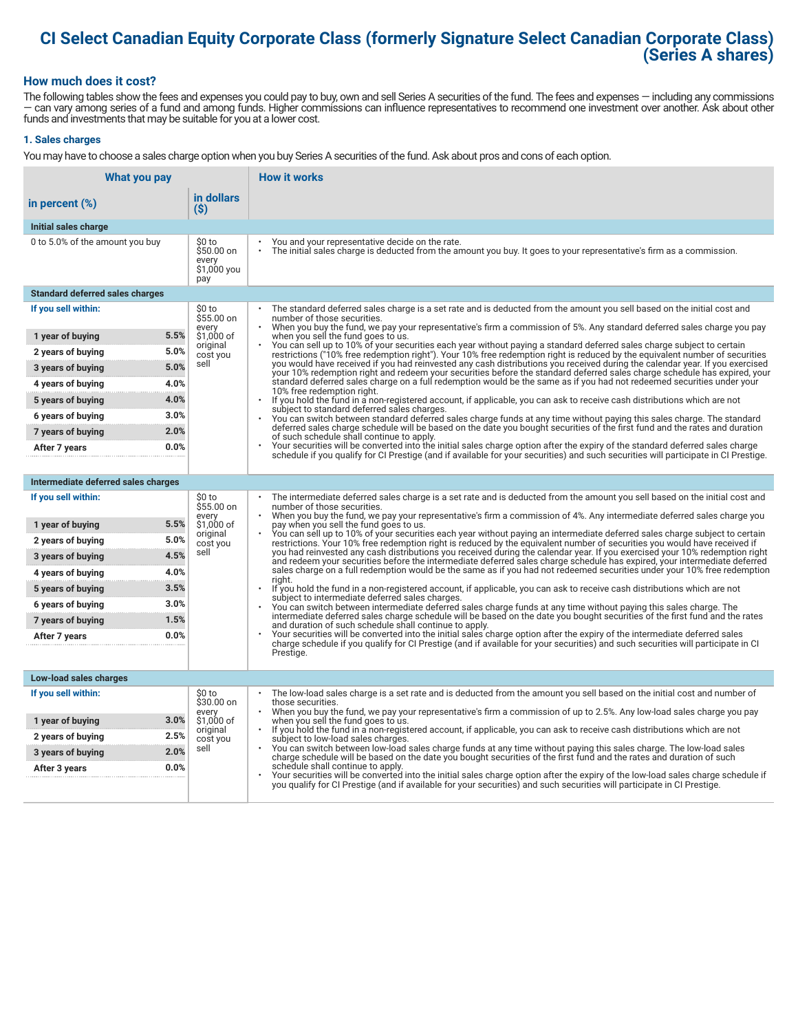## **CI Select Canadian Equity Corporate Class (formerly Signature Select Canadian Corporate Class) (Series A shares)**

#### **How much does it cost?**

The following tables show the fees and expenses you could pay to buy, own and sell Series A securities of the fund. The fees and expenses — including any commissions — can vary among series of a fund and among funds. Higher commissions can influence representatives to recommend one investment over another. Ask about other funds and investments that may be suitable for you at a lower cost.

#### **1. Sales charges**

You may have to choose a sales charge option when you buy Series A securities of the fund. Ask about pros and cons of each option.

| What you pay                           |                                                     | <b>How it works</b>                                                                                                                                                                                                                                                                   |
|----------------------------------------|-----------------------------------------------------|---------------------------------------------------------------------------------------------------------------------------------------------------------------------------------------------------------------------------------------------------------------------------------------|
| in percent (%)                         | in dollars<br>$($ \$)                               |                                                                                                                                                                                                                                                                                       |
| Initial sales charge                   |                                                     |                                                                                                                                                                                                                                                                                       |
| 0 to 5.0% of the amount you buy        | \$0 to<br>\$50.00 on<br>every<br>\$1,000 you<br>pay | You and your representative decide on the rate.<br>The initial sales charge is deducted from the amount you buy. It goes to your representative's firm as a commission.                                                                                                               |
| <b>Standard deferred sales charges</b> |                                                     |                                                                                                                                                                                                                                                                                       |
| If you sell within:                    | \$0 to<br>\$55.00 on                                | The standard deferred sales charge is a set rate and is deducted from the amount you sell based on the initial cost and<br>number of those securities.                                                                                                                                |
| 1 year of buying                       | every<br>5.5%<br>\$1,000 of                         | When you buy the fund, we pay your representative's firm a commission of 5%. Any standard deferred sales charge you pay<br>when you sell the fund goes to us.                                                                                                                         |
| 2 years of buying                      | original<br>5.0%<br>cost you                        | You can sell up to 10% of your securities each year without paying a standard deferred sales charge subject to certain<br>restrictions ("10% free redemption right"). Your 10% free redemption right is reduced by the equivalent number of securities                                |
| 3 years of buying                      | sell<br>5.0%                                        | you would have received if you had reinvested any cash distributions you received during the calendar year. If you exercised<br>your 10% redemption right and redeem your securities before the standard deferred sales charge schedule has expired, your                             |
| 4 years of buying                      | 4.0%                                                | standard deferred sales charge on a full redemption would be the same as if you had not redeemed securities under your<br>10% free redemption right.                                                                                                                                  |
| 5 years of buying                      | 4.0%                                                | $\ddot{\phantom{0}}$<br>If you hold the fund in a non-registered account, if applicable, you can ask to receive cash distributions which are not                                                                                                                                      |
| 6 years of buying                      | 3.0%                                                | subject to standard deferred sales charges.<br>You can switch between standard deferred sales charge funds at any time without paying this sales charge. The standard                                                                                                                 |
| 7 years of buying                      | 2.0%                                                | deferred sales charge schedule will be based on the date you bought securities of the first fund and the rates and duration<br>of such schedule shall continue to apply.                                                                                                              |
| After 7 years                          | 0.0%                                                | Your securities will be converted into the initial sales charge option after the expiry of the standard deferred sales charge<br>schedule if you qualify for CI Prestige (and if available for your securities) and such securities will participate in CI Prestige.                  |
|                                        |                                                     |                                                                                                                                                                                                                                                                                       |
| Intermediate deferred sales charges    |                                                     |                                                                                                                                                                                                                                                                                       |
| If you sell within:                    | \$0 to<br>\$55.00 on<br>every                       | The intermediate deferred sales charge is a set rate and is deducted from the amount you sell based on the initial cost and<br>number of those securities.<br>When you buy the fund, we pay your representative's firm a commission of 4%. Any intermediate deferred sales charge you |
| 1 year of buying                       | 5.5%<br>\$1,000 of                                  | pay when you sell the fund goes to us.<br>You can sell up to 10% of your securities each year without paying an intermediate deferred sales charge subject to certain                                                                                                                 |
| 2 years of buying                      | original<br>5.0%<br>cost you                        | restrictions. Your 10% free redemption right is reduced by the equivalent number of securities you would have received if                                                                                                                                                             |
| 3 years of buying                      | sell<br>4.5%                                        | you had reinvested any cash distributions you received during the calendar year. If you exercised your 10% redemption right<br>and redeem your securities before the intermediate deferred sales charge schedule has expired, your intermediate deferred                              |
| 4 years of buying                      | 4.0%                                                | sales charge on a full redemption would be the same as if you had not redeemed securities under your 10% free redemption<br>riaht.                                                                                                                                                    |
| 5 years of buying                      | 3.5%                                                | If you hold the fund in a non-registered account, if applicable, you can ask to receive cash distributions which are not<br>subject to intermediate deferred sales charges.                                                                                                           |
| 6 years of buying                      | 3.0%                                                | You can switch between intermediate deferred sales charge funds at any time without paying this sales charge. The<br>intermediate deferred sales charge schedule will be based on the date you bought securities of the first fund and the rates                                      |
| 7 years of buying                      | 1.5%                                                | and duration of such schedule shall continue to apply.                                                                                                                                                                                                                                |
| After 7 years                          | 0.0%                                                | Your securities will be converted into the initial sales charge option after the expiry of the intermediate deferred sales<br>charge schedule if you qualify for CI Prestige (and if available for your securities) and such securities will participate in CI                        |
|                                        |                                                     | Prestige.                                                                                                                                                                                                                                                                             |
| Low-load sales charges                 |                                                     |                                                                                                                                                                                                                                                                                       |
| If you sell within:                    | \$0 to<br>\$30.00 on                                | The low-load sales charge is a set rate and is deducted from the amount you sell based on the initial cost and number of<br>those securities.                                                                                                                                         |
| 1 year of buying                       | every<br>3.0%<br>\$1,000 of                         | When you buy the fund, we pay your representative's firm a commission of up to 2.5%. Any low-load sales charge you pay<br>when you sell the fund goes to us.                                                                                                                          |
| 2 years of buying                      | original<br>2.5%<br>cost you                        | If you hold the fund in a non-registered account, if applicable, you can ask to receive cash distributions which are not<br>subject to low-load sales charges.                                                                                                                        |
| 3 years of buying                      | sell<br>2.0%                                        | You can switch between low-load sales charge funds at any time without paying this sales charge. The low-load sales<br>charge schedule will be based on the date you bought securities of the first fund and the rates and duration of such                                           |
| After 3 years                          | 0.0%                                                | schedule shall continue to apply.<br>Your securities will be converted into the initial sales charge option after the expiry of the low-load sales charge schedule if                                                                                                                 |
|                                        |                                                     | you qualify for CI Prestige (and if available for your securities) and such securities will participate in CI Prestige.                                                                                                                                                               |